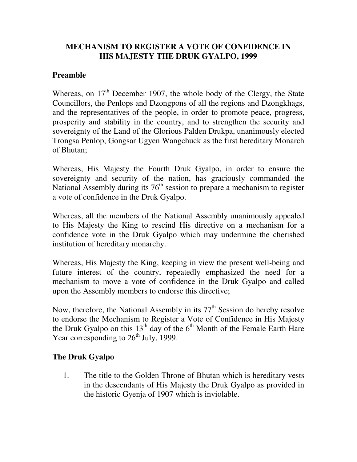## **MECHANISM TO REGISTER A VOTE OF CONFIDENCE IN HIS MAJESTY THE DRUK GYALPO, 1999**

## **Preamble**

Whereas, on  $17<sup>th</sup>$  December 1907, the whole body of the Clergy, the State Councillors, the Penlops and Dzongpons of all the regions and Dzongkhags, and the representatives of the people, in order to promote peace, progress, prosperity and stability in the country, and to strengthen the security and sovereignty of the Land of the Glorious Palden Drukpa, unanimously elected Trongsa Penlop, Gongsar Ugyen Wangchuck as the first hereditary Monarch of Bhutan;

Whereas, His Majesty the Fourth Druk Gyalpo, in order to ensure the sovereignty and security of the nation, has graciously commanded the National Assembly during its  $76<sup>th</sup>$  session to prepare a mechanism to register a vote of confidence in the Druk Gyalpo.

Whereas, all the members of the National Assembly unanimously appealed to His Majesty the King to rescind His directive on a mechanism for a confidence vote in the Druk Gyalpo which may undermine the cherished institution of hereditary monarchy.

Whereas, His Majesty the King, keeping in view the present well-being and future interest of the country, repeatedly emphasized the need for a mechanism to move a vote of confidence in the Druk Gyalpo and called upon the Assembly members to endorse this directive;

Now, therefore, the National Assembly in its  $77<sup>th</sup>$  Session do hereby resolve to endorse the Mechanism to Register a Vote of Confidence in His Majesty the Druk Gyalpo on this  $13<sup>th</sup>$  day of the 6<sup>th</sup> Month of the Female Earth Hare Year corresponding to  $26<sup>th</sup>$  July, 1999.

## **The Druk Gyalpo**

1. The title to the Golden Throne of Bhutan which is hereditary vests in the descendants of His Majesty the Druk Gyalpo as provided in the historic Gyenja of 1907 which is inviolable.